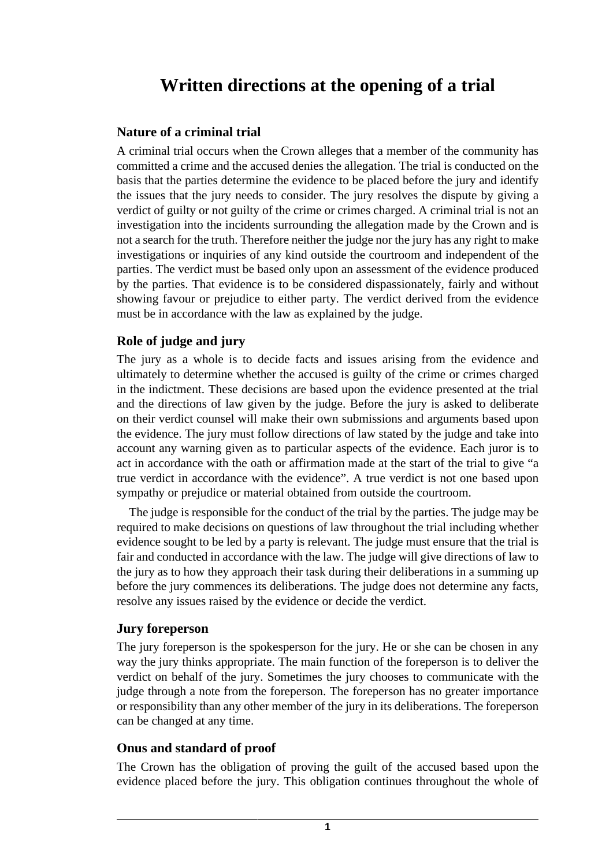# **Written directions at the opening of a trial**

#### **Nature of a criminal trial**

A criminal trial occurs when the Crown alleges that a member of the community has committed a crime and the accused denies the allegation. The trial is conducted on the basis that the parties determine the evidence to be placed before the jury and identify the issues that the jury needs to consider. The jury resolves the dispute by giving a verdict of guilty or not guilty of the crime or crimes charged. A criminal trial is not an investigation into the incidents surrounding the allegation made by the Crown and is not a search for the truth. Therefore neither the judge nor the jury has any right to make investigations or inquiries of any kind outside the courtroom and independent of the parties. The verdict must be based only upon an assessment of the evidence produced by the parties. That evidence is to be considered dispassionately, fairly and without showing favour or prejudice to either party. The verdict derived from the evidence must be in accordance with the law as explained by the judge.

#### **Role of judge and jury**

The jury as a whole is to decide facts and issues arising from the evidence and ultimately to determine whether the accused is guilty of the crime or crimes charged in the indictment. These decisions are based upon the evidence presented at the trial and the directions of law given by the judge. Before the jury is asked to deliberate on their verdict counsel will make their own submissions and arguments based upon the evidence. The jury must follow directions of law stated by the judge and take into account any warning given as to particular aspects of the evidence. Each juror is to act in accordance with the oath or affirmation made at the start of the trial to give "a true verdict in accordance with the evidence". A true verdict is not one based upon sympathy or prejudice or material obtained from outside the courtroom.

The judge is responsible for the conduct of the trial by the parties. The judge may be required to make decisions on questions of law throughout the trial including whether evidence sought to be led by a party is relevant. The judge must ensure that the trial is fair and conducted in accordance with the law. The judge will give directions of law to the jury as to how they approach their task during their deliberations in a summing up before the jury commences its deliberations. The judge does not determine any facts, resolve any issues raised by the evidence or decide the verdict.

#### **Jury foreperson**

The jury foreperson is the spokesperson for the jury. He or she can be chosen in any way the jury thinks appropriate. The main function of the foreperson is to deliver the verdict on behalf of the jury. Sometimes the jury chooses to communicate with the judge through a note from the foreperson. The foreperson has no greater importance or responsibility than any other member of the jury in its deliberations. The foreperson can be changed at any time.

#### **Onus and standard of proof**

The Crown has the obligation of proving the guilt of the accused based upon the evidence placed before the jury. This obligation continues throughout the whole of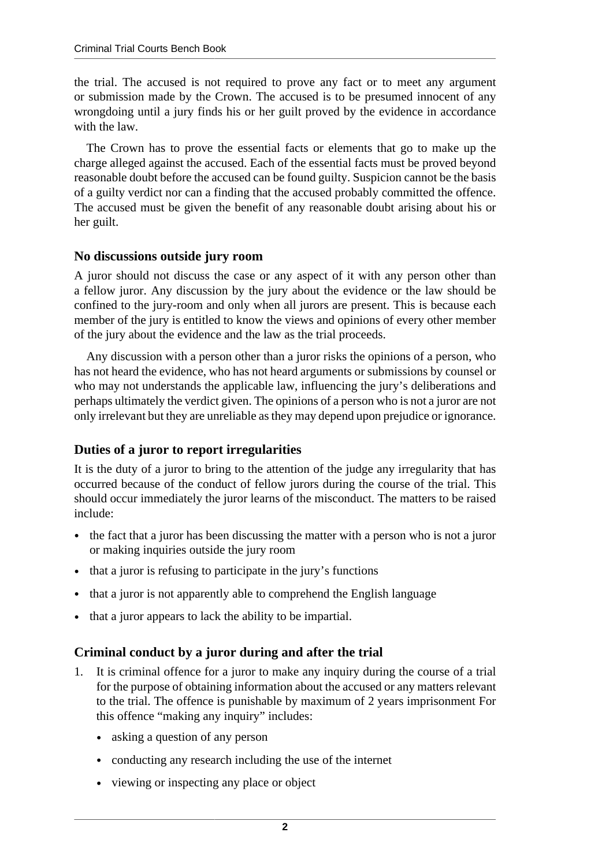the trial. The accused is not required to prove any fact or to meet any argument or submission made by the Crown. The accused is to be presumed innocent of any wrongdoing until a jury finds his or her guilt proved by the evidence in accordance with the law.

The Crown has to prove the essential facts or elements that go to make up the charge alleged against the accused. Each of the essential facts must be proved beyond reasonable doubt before the accused can be found guilty. Suspicion cannot be the basis of a guilty verdict nor can a finding that the accused probably committed the offence. The accused must be given the benefit of any reasonable doubt arising about his or her guilt.

#### **No discussions outside jury room**

A juror should not discuss the case or any aspect of it with any person other than a fellow juror. Any discussion by the jury about the evidence or the law should be confined to the jury-room and only when all jurors are present. This is because each member of the jury is entitled to know the views and opinions of every other member of the jury about the evidence and the law as the trial proceeds.

Any discussion with a person other than a juror risks the opinions of a person, who has not heard the evidence, who has not heard arguments or submissions by counsel or who may not understands the applicable law, influencing the jury's deliberations and perhaps ultimately the verdict given. The opinions of a person who is not a juror are not only irrelevant but they are unreliable as they may depend upon prejudice or ignorance.

#### **Duties of a juror to report irregularities**

It is the duty of a juror to bring to the attention of the judge any irregularity that has occurred because of the conduct of fellow jurors during the course of the trial. This should occur immediately the juror learns of the misconduct. The matters to be raised include:

- the fact that a juror has been discussing the matter with a person who is not a juror or making inquiries outside the jury room
- that a juror is refusing to participate in the jury's functions
- that a juror is not apparently able to comprehend the English language
- that a juror appears to lack the ability to be impartial.

### **Criminal conduct by a juror during and after the trial**

- 1. It is criminal offence for a juror to make any inquiry during the course of a trial for the purpose of obtaining information about the accused or any matters relevant to the trial. The offence is punishable by maximum of 2 years imprisonment For this offence "making any inquiry" includes:
	- asking a question of any person
	- conducting any research including the use of the internet
	- viewing or inspecting any place or object